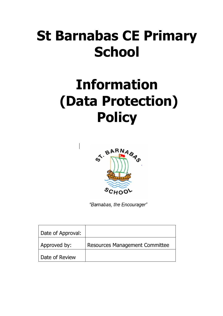# **St Barnabas CE Primary School**

# **Information (Data Protection) Policy**



"Barnabas, the Encourager"

| Date of Approval: |                                |
|-------------------|--------------------------------|
| Approved by:      | Resources Management Committee |
| Date of Review    |                                |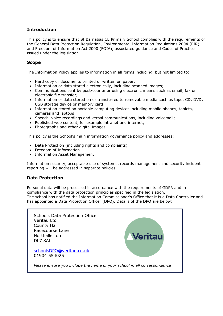# **Introduction**

This policy is to ensure that St Barnabas CE Primary School complies with the requirements of the General Data Protection Regulation, Environmental Information Regulations 2004 (EIR) and Freedom of Information Act 2000 (FOIA), associated guidance and Codes of Practice issued under the legislation.

## **Scope**

The Information Policy applies to information in all forms including, but not limited to:

- Hard copy or documents printed or written on paper;
- Information or data stored electronically, including scanned images;
- Communications sent by post/courier or using electronic means such as email, fax or electronic file transfer;
- Information or data stored on or transferred to removable media such as tape, CD, DVD, USB storage device or memory card;
- Information stored on portable computing devices including mobile phones, tablets, cameras and laptops;
- Speech, voice recordings and verbal communications, including voicemail:
- Published web content, for example intranet and internet;
- Photographs and other digital images.

This policy is the School's main information governance policy and addresses:

- Data Protection (including rights and complaints)
- Freedom of Information
- Information Asset Management

Information security, acceptable use of systems, records management and security incident reporting will be addressed in separate policies.

# **Data Protection**

Personal data will be processed in accordance with the requirements of GDPR and in compliance with the data protection principles specified in the legislation. The school has notified the Information Commissioner's Office that it is a Data Controller and has appointed a Data Protection Officer (DPO). Details of the DPO are below:

| Schools Data Protection Officer<br>Veritau Ltd<br><b>County Hall</b><br>Racecourse Lane<br>Northallerton<br>DL7 8AL | Veritau |
|---------------------------------------------------------------------------------------------------------------------|---------|
| schoolsDPO@veritau.co.uk<br>01904 554025                                                                            |         |
| Please ensure you include the name of your school in all correspondence                                             |         |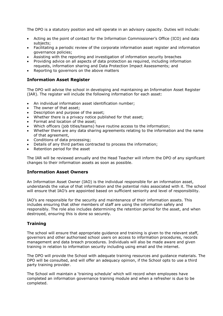The DPO is a statutory position and will operate in an advisory capacity. Duties will include:

- Acting as the point of contact for the Information Commissioner's Office (ICO) and data subjects;
- Facilitating a periodic review of the corporate information asset register and information governance policies;
- Assisting with the reporting and investigation of information security breaches
- Providing advice on all aspects of data protection as required, including information requests, information sharing and Data Protection Impact Assessments; and
- Reporting to governors on the above matters

## **Information Asset Register**

The DPO will advise the school in developing and maintaining an Information Asset Register (IAR). The register will include the following information for each asset:

- An individual information asset identification number;
- The owner of that asset;
- Description and purpose of the asset;
- Whether there is a privacy notice published for that asset;
- Format and location of the asset;
- Which officers (job titles/teams) have routine access to the information;
- Whether there are any data sharing agreements relating to the information and the name of that agreement,
- Conditions of data processing;
- Details of any third parties contracted to process the information;
- Retention period for the asset

The IAR will be reviewed annually and the Head Teacher will inform the DPO of any significant changes to their information assets as soon as possible.

## **Information Asset Owners**

An Information Asset Owner (IAO) is the individual responsible for an information asset, understands the value of that information and the potential risks associated with it. The school will ensure that IAO's are appointed based on sufficient seniority and level of responsibility.

IAO's are responsible for the security and maintenance of their information assets. This includes ensuring that other members of staff are using the information safely and responsibly. The role also includes determining the retention period for the asset, and when destroyed, ensuring this is done so securely.

# **Training**

The school will ensure that appropriate guidance and training is given to the relevant staff, governors and other authorised school users on access to information procedures, records management and data breach procedures. Individuals will also be made aware and given training in relation to information security including using email and the internet.

The DPO will provide the School with adequate training resources and guidance materials. The DPO will be consulted, and will offer an adequacy opinion, if the School opts to use a third party training provider.

The School will maintain a 'training schedule' which will record when employees have completed an information governance training module and when a refresher is due to be completed.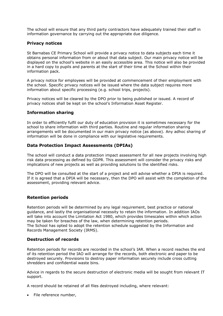The school will ensure that any third party contractors have adequately trained their staff in information governance by carrying out the appropriate due diligence.

## **Privacy notices**

St Barnabas CE Primary School will provide a privacy notice to data subjects each time it obtains personal information from or about that data subject. Our main privacy notice will be displayed on the school's website in an easily accessible area. This notice will also be provided in a hard copy to pupils and parents at the start of their time at the School within their information pack.

A privacy notice for employees will be provided at commencement of their employment with the school. Specific privacy notices will be issued where the data subject requires more information about specific processing (e.g. school trips, projects).

Privacy notices will be cleared by the DPO prior to being published or issued. A record of privacy notices shall be kept on the school's Information Asset Register.

## **Information sharing**

In order to efficiently fulfil our duty of education provision it is sometimes necessary for the school to share information with third parties. Routine and regular information sharing arrangements will be documented in our main privacy notice (as above). Any adhoc sharing of information will be done in compliance with our legislative requirements.

## **Data Protection Impact Assessments (DPIAs)**

The school will conduct a data protection impact assessment for all new projects involving high risk data processing as defined by GDPR. This assessment will consider the privacy risks and implications of new projects as well as providing solutions to the identified risks.

The DPO will be consulted at the start of a project and will advise whether a DPIA is required. If it is agreed that a DPIA will be necessary, then the DPO will assist with the completion of the assessment, providing relevant advice.

# **Retention periods**

Retention periods will be determined by any legal requirement, best practice or national guidance, and lastly the organisational necessity to retain the information. In addition IAOs will take into account the Limitation Act 1980, which provides timescales within which action may be taken for breaches of the law, when determining retention periods. The School has opted to adopt the retention schedule suggested by the Information and Records Management Society (IRMS).

## **Destruction of records**

Retention periods for records are recorded in the school's IAR. When a record reaches the end of its retention period the IAO will arrange for the records, both electronic and paper to be destroyed securely. Provisions to destroy paper information securely include cross cutting shredders and confidential waste bins.

Advice in regards to the secure destruction of electronic media will be sought from relevant IT support.

A record should be retained of all files destroyed including, where relevant:

• File reference number,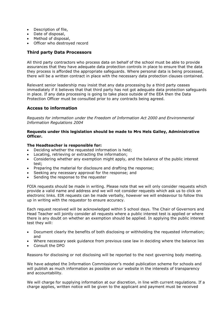- Description of file,
- Date of disposal,
- Method of disposal,
- Officer who destroyed record

## **Third party Data Processors**

All third party contractors who process data on behalf of the school must be able to provide assurances that they have adequate data protection controls in place to ensure that the data they process is afforded the appropriate safeguards. Where personal data is being processed, there will be a written contract in place with the necessary data protection clauses contained.

Relevant senior leadership may insist that any data processing by a third party ceases immediately if it believes that that third party has not got adequate data protection safeguards in place. If any data processing is going to take place outside of the EEA then the Data Protection Officer must be consulted prior to any contracts being agreed.

# **Access to information**

*Requests for information under the Freedom of Information Act 2000 and Environmental Information Regulations 2004*

#### **Requests under this legislation should be made to Mrs Hels Galley, Administrative Officer.**

#### **The Headteacher is responsible for:**

- Deciding whether the requested information is held;
- Locating, retrieving or extracting the information;
- Considering whether any exemption might apply, and the balance of the public interest test;
- Preparing the material for disclosure and drafting the response;
- Seeking any necessary approval for the response; and
- Sending the response to the requester

FOIA requests should be made in writing. Please note that we will only consider requests which provide a valid name and address and we will not consider requests which ask us to click on electronic links. EIR requests can be made verbally, however we will endeavour to follow this up in writing with the requestor to ensure accuracy.

Each request received will be acknowledged within 5 school days. The Chair of Governors and Head Teacher will jointly consider all requests where a public interest test is applied or where there is any doubt on whether an exemption should be applied. In applying the public interest test they will:

- Document clearly the benefits of both disclosing or withholding the requested information; and
- Where necessary seek guidance from previous case law in deciding where the balance lies
- Consult the DPO

Reasons for disclosing or not disclosing will be reported to the next governing body meeting.

We have adopted the Information Commissioner's model publication scheme for schools and will publish as much information as possible on our website in the interests of transparency and accountability.

We will charge for supplying information at our discretion, in line with current regulations. If a charge applies, written notice will be given to the applicant and payment must be received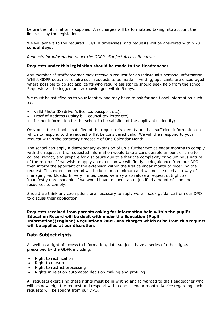before the information is supplied. Any charges will be formulated taking into account the limits set by the legislation.

We will adhere to the required FOI/EIR timescales, and requests will be answered within 20 **school days.**

*Requests for information under the GDPR- Subject Access Requests*

#### **Requests under this legislation should be made to the Headteacher**

Any member of staff/governor may receive a request for an individual's personal information. Whilst GDPR does not require such requests to be made in writing, applicants are encouraged where possible to do so; applicants who require assistance should seek help from the school. Requests will be logged and acknowledged within 5 days.

We must be satisfied as to your identity and may have to ask for additional information such as:

- Valid Photo ID (driver's licence, passport etc);
- Proof of Address (Utility bill, council tax letter etc);
- further information for the school to be satisfied of the applicant's identity;

Only once the school is satisfied of the requestor's identity and has sufficient information on which to respond to the request will it be considered valid. We will then respond to your request within the statutory timescale of One Calendar Month.

The school can apply a discretionary extension of up a further two calendar months to comply with the request if the requested information would take a considerable amount of time to collate, redact, and prepare for disclosure due to either the complexity or voluminous nature of the records. If we wish to apply an extension we will firstly seek guidance from our DPO, then inform the applicant of the extension within the first calendar month of receiving the request. This extension period will be kept to a minimum and will not be used as a way of managing workloads. In very limited cases we may also refuse a request outright as 'manifestly unreasonable' if we would have to spend an unjustified amount of time and resources to comply.

Should we think any exemptions are necessary to apply we will seek guidance from our DPO to discuss their application.

#### **Requests received from parents asking for information held within the pupil's Education Record will be dealt with under the Education (Pupil Information)(England) Regulations 2005. Any charges which arise from this request will be applied at our discretion.**

## **Data Subject rights**

As well as a right of access to information, data subjects have a series of other rights prescribed by the GDPR including:

- Right to rectification
- Right to erasure
- Right to restrict processing
- Rights in relation automated decision making and profiling

All requests exercising these rights must be in writing and forwarded to the Headteacher who will acknowledge the request and respond within one calendar month. Advice regarding such requests will be sought from our DPO.